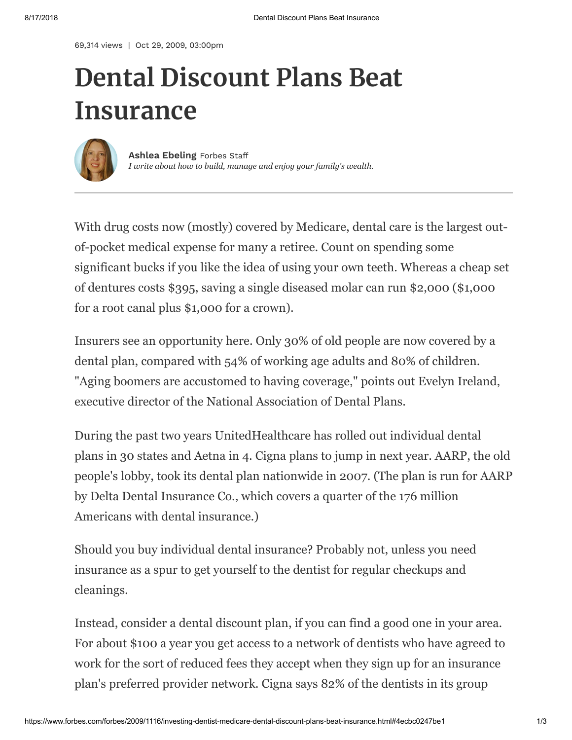69,314 views | Oct 29, 2009, 03:00pm

# **Dental Discount Plans Beat Insurance**



*I write about how to build, manage and enjoy your family's wealth.* **Ashlea [Ebeling](https://www.forbes.com/sites/ashleaebeling/)** Forbes Staff

With drug costs now (mostly) covered by Medicare, dental care is the largest outof-pocket medical expense for many a retiree. Count on spending some significant bucks if you like the idea of using your own teeth. Whereas a cheap set of dentures costs \$395, saving a single diseased molar can run \$2,000 (\$1,000 for a root canal plus \$1,000 for a crown).

Insurers see an opportunity here. Only 30% of old people are now covered by a dental plan, compared with 54% of working age adults and 80% of children. "Aging boomers are accustomed to having coverage," points out Evelyn Ireland, executive director of the National Association of Dental Plans.

During the past two years UnitedHealthcare has rolled out individual dental plans in 30 states and Aetna in 4. Cigna plans to jump in next year. AARP, the old people's lobby, took its dental plan nationwide in 2007. (The plan is run for AARP by Delta Dental Insurance Co., which covers a quarter of the 176 million Americans with dental insurance.)

Should you buy individual dental insurance? Probably not, unless you need insurance as a spur to get yourself to the dentist for regular checkups and cleanings.

Instead, consider a dental discount plan, if you can find a good one in your area. For about \$100 a year you get access to a network of dentists who have agreed to work for the sort of reduced fees they accept when they sign up for an insurance plan's preferred provider network. Cigna says 82% of the dentists in its group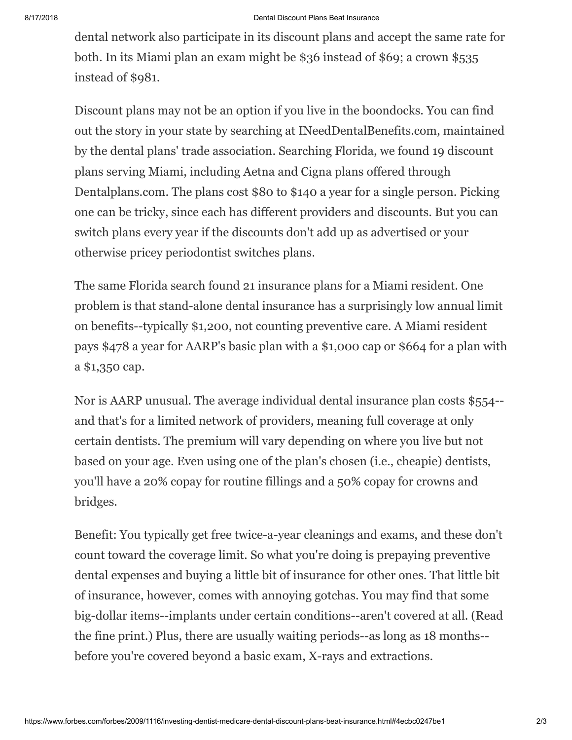### 8/17/2018 Dental Discount Plans Beat Insurance

dental network also participate in its discount plans and accept the same rate for both. In its Miami plan an exam might be \$36 instead of \$69; a crown \$535 instead of \$981.

Discount plans may not be an option if you live in the boondocks. You can find out the story in your state by searching at INeedDentalBenefits.com, maintained by the dental plans' trade association. Searching Florida, we found 19 discount plans serving Miami, including Aetna and Cigna plans offered through Dentalplans.com. The plans cost \$80 to \$140 a year for a single person. Picking one can be tricky, since each has different providers and discounts. But you can switch plans every year if the discounts don't add up as advertised or your otherwise pricey periodontist switches plans.

The same Florida search found 21 insurance plans for a Miami resident. One problem is that stand-alone dental insurance has a surprisingly low annual limit on benefits--typically \$1,200, not counting preventive care. A Miami resident pays \$478 a year for AARP's basic plan with a \$1,000 cap or \$664 for a plan with a \$1,350 cap.

Nor is AARP unusual. The average individual dental insurance plan costs \$554- and that's for a limited network of providers, meaning full coverage at only certain dentists. The premium will vary depending on where you live but not based on your age. Even using one of the plan's chosen (i.e., cheapie) dentists, you'll have a 20% copay for routine fillings and a 50% copay for crowns and bridges.

Benefit: You typically get free twice-a-year cleanings and exams, and these don't count toward the coverage limit. So what you're doing is prepaying preventive dental expenses and buying a little bit of insurance for other ones. That little bit of insurance, however, comes with annoying gotchas. You may find that some big-dollar items--implants under certain conditions--aren't covered at all. (Read the fine print.) Plus, there are usually waiting periods--as long as 18 months- before you're covered beyond a basic exam, X-rays and extractions.